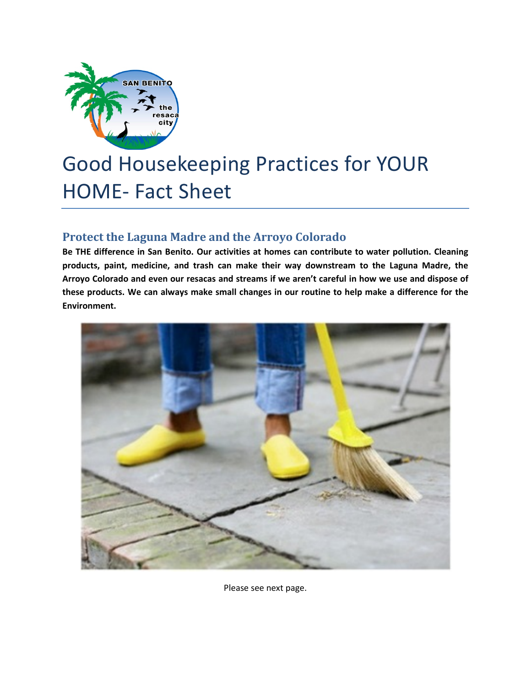

## Good Housekeeping Practices for YOUR HOME- Fact Sheet

## **Protect the Laguna Madre and the Arroyo Colorado**

**Be THE difference in San Benito. Our activities at homes can contribute to water pollution. Cleaning products, paint, medicine, and trash can make their way downstream to the Laguna Madre, the Arroyo Colorado and even our resacas and streams if we aren't careful in how we use and dispose of these products. We can always make small changes in our routine to help make a difference for the Environment.**



Please see next page.